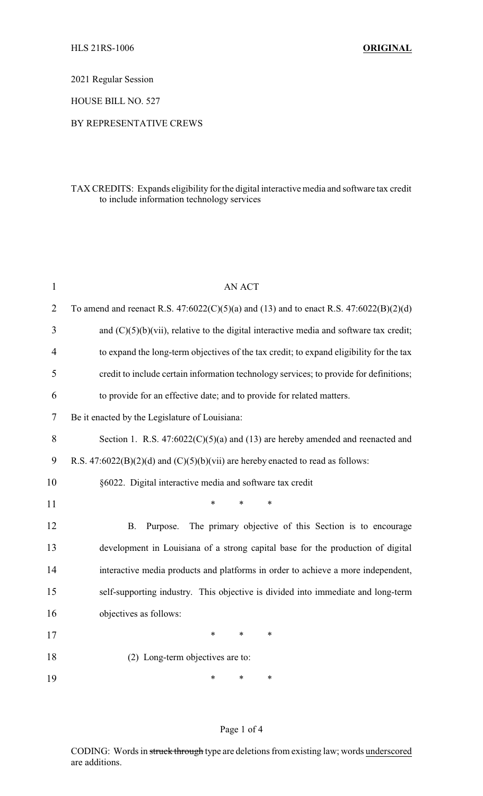2021 Regular Session

HOUSE BILL NO. 527

#### BY REPRESENTATIVE CREWS

### TAX CREDITS: Expands eligibility for the digital interactive media and software tax credit to include information technology services

| $\mathbf{1}$   | <b>AN ACT</b>                                                                              |
|----------------|--------------------------------------------------------------------------------------------|
| $\overline{2}$ | To amend and reenact R.S. $47:6022(C)(5)(a)$ and (13) and to enact R.S. $47:6022(B)(2)(d)$ |
| 3              | and $(C)(5)(b)(vii)$ , relative to the digital interactive media and software tax credit;  |
| 4              | to expand the long-term objectives of the tax credit; to expand eligibility for the tax    |
| 5              | credit to include certain information technology services; to provide for definitions;     |
| 6              | to provide for an effective date; and to provide for related matters.                      |
| 7              | Be it enacted by the Legislature of Louisiana:                                             |
| 8              | Section 1. R.S. $47:6022(C)(5)(a)$ and (13) are hereby amended and reenacted and           |
| 9              | R.S. $47:6022(B)(2)(d)$ and $(C)(5)(b)(vii)$ are hereby enacted to read as follows:        |
| 10             | §6022. Digital interactive media and software tax credit                                   |
| 11             | *<br>*<br>*                                                                                |
| 12             | The primary objective of this Section is to encourage<br><b>B.</b><br>Purpose.             |
| 13             | development in Louisiana of a strong capital base for the production of digital            |
| 14             | interactive media products and platforms in order to achieve a more independent,           |
| 15             | self-supporting industry. This objective is divided into immediate and long-term           |
| 16             | objectives as follows:                                                                     |
| 17             | *<br>$\ast$<br>*                                                                           |
| 18             | (2) Long-term objectives are to:                                                           |
| 19             | *<br>*<br>*                                                                                |

#### Page 1 of 4

CODING: Words in struck through type are deletions from existing law; words underscored are additions.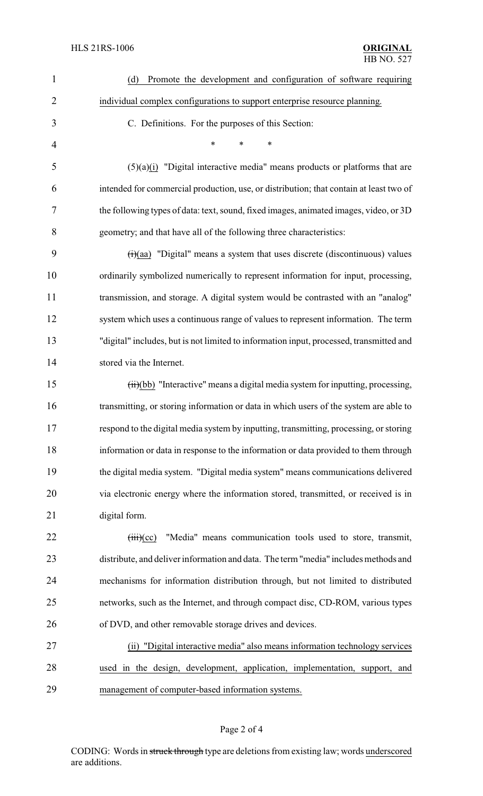| $\mathbf{1}$   | Promote the development and configuration of software requiring<br>(d)                                   |
|----------------|----------------------------------------------------------------------------------------------------------|
| $\overline{2}$ | individual complex configurations to support enterprise resource planning.                               |
| 3              | C. Definitions. For the purposes of this Section:                                                        |
| 4              | *<br>∗                                                                                                   |
| 5              | $(5)(a)(i)$ "Digital interactive media" means products or platforms that are                             |
| 6              | intended for commercial production, use, or distribution; that contain at least two of                   |
| 7              | the following types of data: text, sound, fixed images, animated images, video, or 3D                    |
| 8              | geometry; and that have all of the following three characteristics:                                      |
| 9              | $(ii)(aa)$ "Digital" means a system that uses discrete (discontinuous) values                            |
| 10             | ordinarily symbolized numerically to represent information for input, processing,                        |
| 11             | transmission, and storage. A digital system would be contrasted with an "analog"                         |
| 12             | system which uses a continuous range of values to represent information. The term                        |
| 13             | "digital" includes, but is not limited to information input, processed, transmitted and                  |
| 14             | stored via the Internet.                                                                                 |
| 15             | (ii)(bb) "Interactive" means a digital media system for inputting, processing,                           |
| 16             | transmitting, or storing information or data in which users of the system are able to                    |
| 17             | respond to the digital media system by inputting, transmitting, processing, or storing                   |
| 18             | information or data in response to the information or data provided to them through                      |
| 19             | the digital media system. "Digital media system" means communications delivered                          |
| 20             | via electronic energy where the information stored, transmitted, or received is in                       |
| 21             | digital form.                                                                                            |
| 22             | "Media" means communication tools used to store, transmit,<br>$\overrightarrow{(\text{iii})}(\text{cc})$ |
| 23             | distribute, and deliver information and data. The term "media" includes methods and                      |
| 24             | mechanisms for information distribution through, but not limited to distributed                          |
| 25             | networks, such as the Internet, and through compact disc, CD-ROM, various types                          |
| 26             | of DVD, and other removable storage drives and devices.                                                  |
| 27             | (ii) "Digital interactive media" also means information technology services                              |
| 28             | used in the design, development, application, implementation, support, and                               |
| 29             | management of computer-based information systems.                                                        |

# Page 2 of 4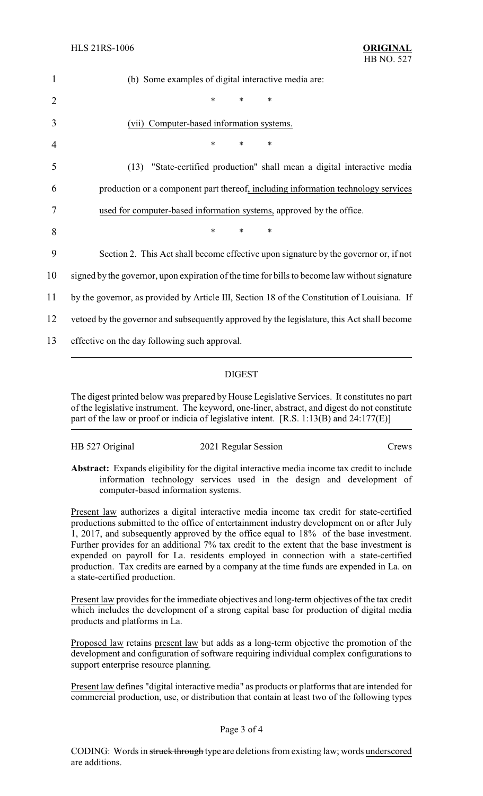| $\mathbf{1}$   | (b) Some examples of digital interactive media are:                                           |
|----------------|-----------------------------------------------------------------------------------------------|
| $\overline{2}$ | $\ast$<br>$\ast$<br>*                                                                         |
| 3              | (vii) Computer-based information systems.                                                     |
| 4              | *<br>$\ast$<br>$\ast$                                                                         |
| 5              | (13) "State-certified production" shall mean a digital interactive media                      |
| 6              | production or a component part thereof, including information technology services             |
| 7              | used for computer-based information systems, approved by the office.                          |
| 8              | $\ast$<br>$\ast$<br>*                                                                         |
| 9              | Section 2. This Act shall become effective upon signature by the governor or, if not          |
| 10             | signed by the governor, upon expiration of the time for bills to become law without signature |
| 11             | by the governor, as provided by Article III, Section 18 of the Constitution of Louisiana. If  |
| 12             | vetoed by the governor and subsequently approved by the legislature, this Act shall become    |
| 13             | effective on the day following such approval.                                                 |
|                |                                                                                               |

## DIGEST

The digest printed below was prepared by House Legislative Services. It constitutes no part of the legislative instrument. The keyword, one-liner, abstract, and digest do not constitute part of the law or proof or indicia of legislative intent. [R.S. 1:13(B) and 24:177(E)]

| HB 527 Original | 2021 Regular Session | Crews |
|-----------------|----------------------|-------|
|                 |                      |       |

**Abstract:** Expands eligibility for the digital interactive media income tax credit to include information technology services used in the design and development of computer-based information systems.

Present law authorizes a digital interactive media income tax credit for state-certified productions submitted to the office of entertainment industry development on or after July 1, 2017, and subsequently approved by the office equal to 18% of the base investment. Further provides for an additional 7% tax credit to the extent that the base investment is expended on payroll for La. residents employed in connection with a state-certified production. Tax credits are earned by a company at the time funds are expended in La. on a state-certified production.

Present law provides for the immediate objectives and long-term objectives of the tax credit which includes the development of a strong capital base for production of digital media products and platforms in La.

Proposed law retains present law but adds as a long-term objective the promotion of the development and configuration of software requiring individual complex configurations to support enterprise resource planning.

Present law defines "digital interactive media" as products or platforms that are intended for commercial production, use, or distribution that contain at least two of the following types